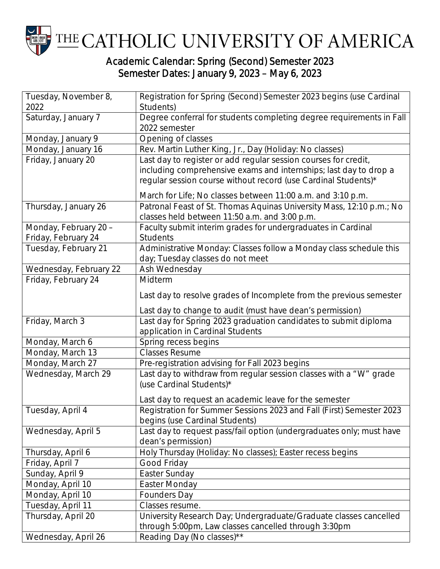

## Semester Dates: January 9, 2023 – May 6, 2023

| Tuesday, November 8,   | Registration for Spring (Second) Semester 2023 begins (use Cardinal                            |
|------------------------|------------------------------------------------------------------------------------------------|
| 2022                   | Students)                                                                                      |
| Saturday, January 7    | Degree conferral for students completing degree requirements in Fall                           |
|                        | 2022 semester                                                                                  |
| Monday, January 9      | Opening of classes                                                                             |
| Monday, January 16     | Rev. Martin Luther King, Jr., Day (Holiday: No classes)                                        |
| Friday, January 20     | Last day to register or add regular session courses for credit,                                |
|                        | including comprehensive exams and internships; last day to drop a                              |
|                        | regular session course without record (use Cardinal Students)*                                 |
|                        | March for Life; No classes between 11:00 a.m. and 3:10 p.m.                                    |
| Thursday, January 26   | Patronal Feast of St. Thomas Aquinas University Mass, 12:10 p.m.; No                           |
|                        | classes held between 11:50 a.m. and 3:00 p.m.                                                  |
| Monday, February 20 -  | Faculty submit interim grades for undergraduates in Cardinal                                   |
| Friday, February 24    | <b>Students</b>                                                                                |
| Tuesday, February 21   | Administrative Monday: Classes follow a Monday class schedule this                             |
|                        | day; Tuesday classes do not meet                                                               |
| Wednesday, February 22 | Ash Wednesday                                                                                  |
| Friday, February 24    | Midterm                                                                                        |
|                        | Last day to resolve grades of Incomplete from the previous semester                            |
|                        | Last day to change to audit (must have dean's permission)                                      |
| Friday, March 3        | Last day for Spring 2023 graduation candidates to submit diploma                               |
|                        | application in Cardinal Students                                                               |
| Monday, March 6        | Spring recess begins                                                                           |
| Monday, March 13       | <b>Classes Resume</b>                                                                          |
| Monday, March 27       | Pre-registration advising for Fall 2023 begins                                                 |
| Wednesday, March 29    | Last day to withdraw from regular session classes with a "W" grade<br>(use Cardinal Students)* |
|                        |                                                                                                |
|                        | Last day to request an academic leave for the semester                                         |
| Tuesday, April 4       | Registration for Summer Sessions 2023 and Fall (First) Semester 2023                           |
|                        | begins (use Cardinal Students)                                                                 |
| Wednesday, April 5     | Last day to request pass/fail option (undergraduates only; must have                           |
|                        | dean's permission)                                                                             |
| Thursday, April 6      | Holy Thursday (Holiday: No classes); Easter recess begins                                      |
| Friday, April 7        | Good Friday                                                                                    |
| Sunday, April 9        | Easter Sunday                                                                                  |
| Monday, April 10       | Easter Monday                                                                                  |
| Monday, April 10       | <b>Founders Day</b>                                                                            |
| Tuesday, April 11      | Classes resume.                                                                                |
| Thursday, April 20     | University Research Day; Undergraduate/Graduate classes cancelled                              |
|                        | through 5:00pm, Law classes cancelled through 3:30pm                                           |
| Wednesday, April 26    | Reading Day (No classes)**                                                                     |